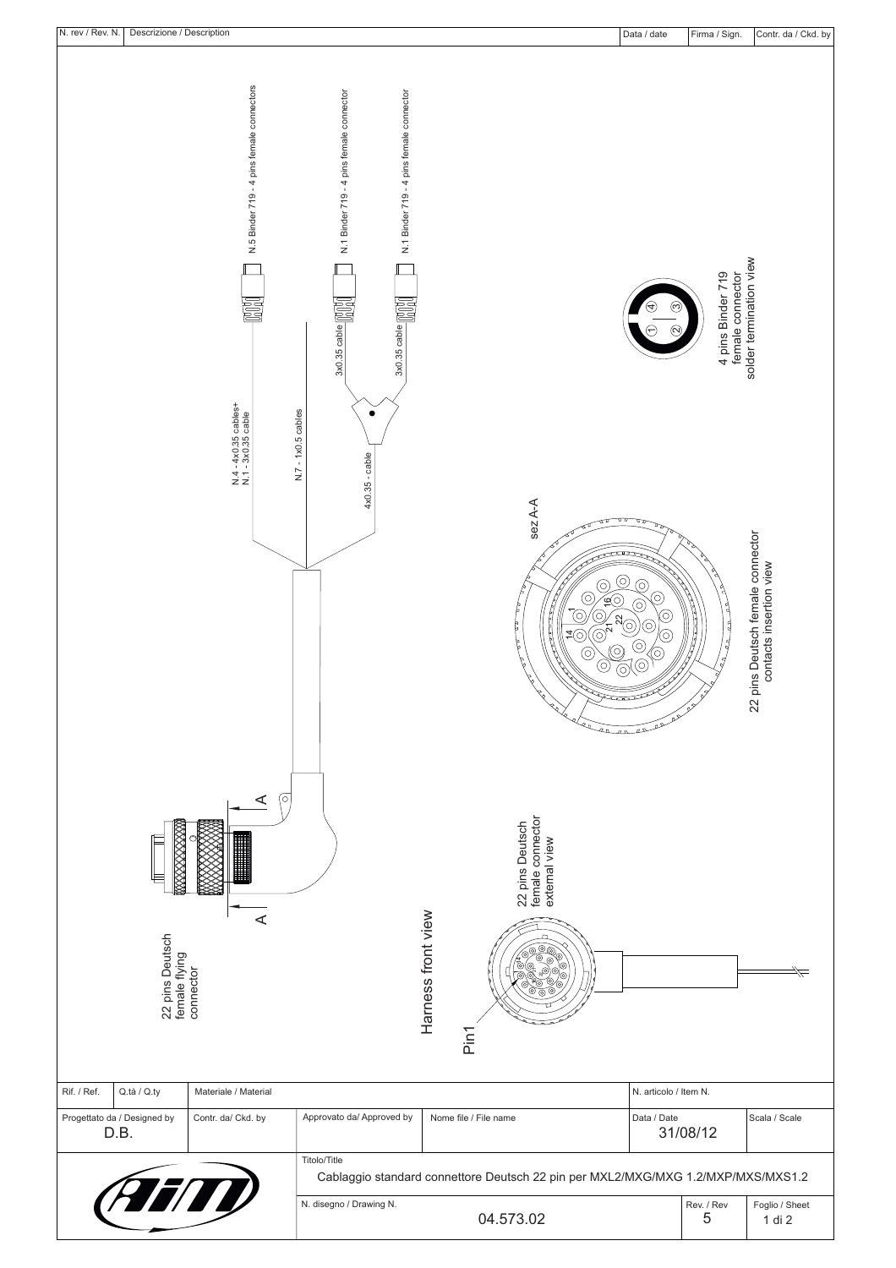